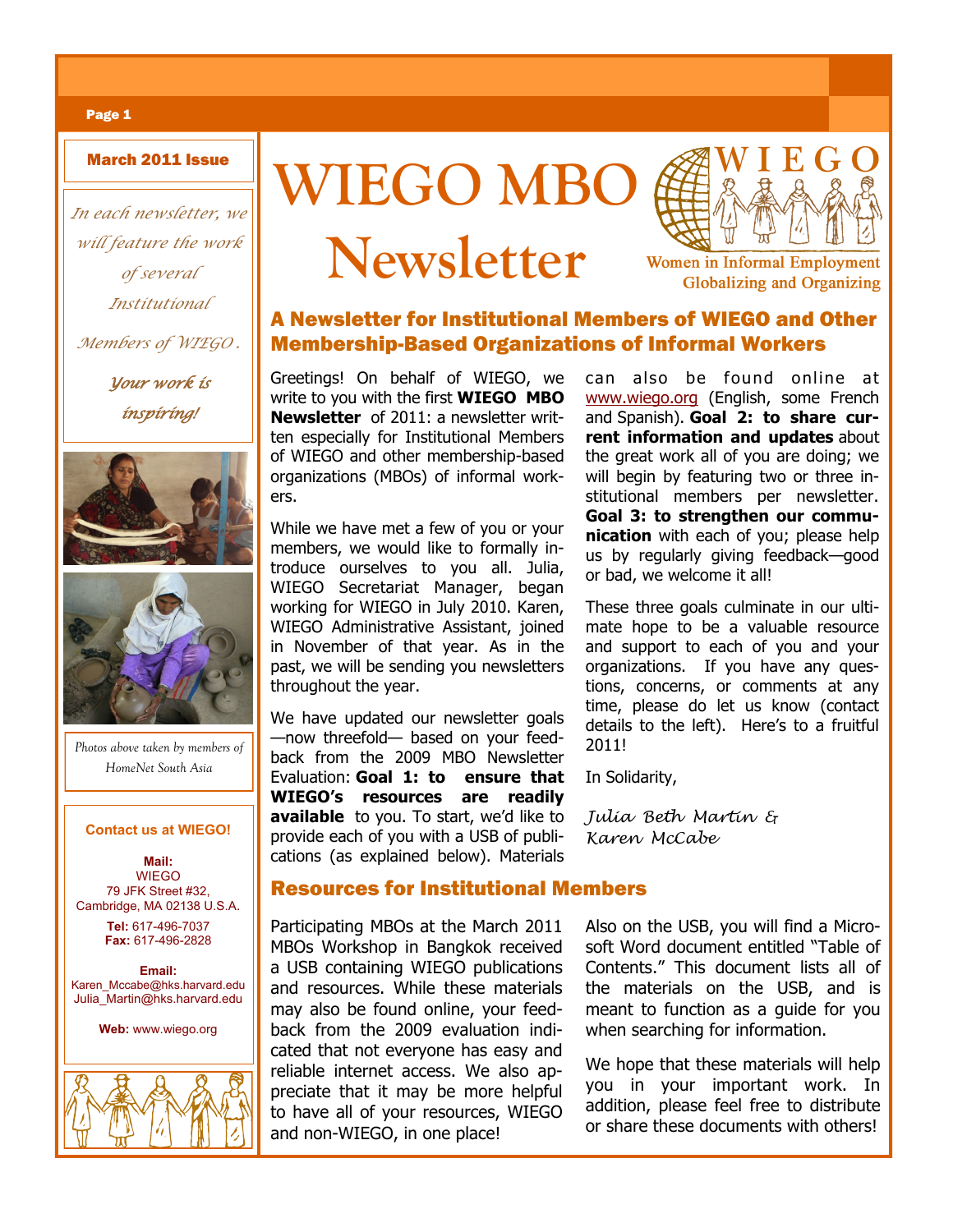*In each newsletter, we will feature the work of several Institutional*

*Members of WIEGO .* 

*Your work is inspiring!* 





*Photos above taken by members of HomeNet South Asia*

**Mail:**  WIEGO 79 JFK Street #32, Cambridge, MA 02138 U.S.A. **Tel:** 617-496-7037 **Fax:** 617-496-2828

**Email:**  Karen\_Mccabe@hks.harvard.edu Julia\_Martin@hks.harvard.edu

**Web:** www.wiego.org







**Women in Informal Employment Globalizing and Organizing** 

# A Newsletter for Institutional Members of WIEGO and Other Membership-Based Organizations of Informal Workers

Greetings! On behalf of WIEGO, we write to you with the first **WIEGO MBO Newsletter** of 2011: a newsletter written especially for Institutional Members of WIEGO and other membership-based organizations (MBOs) of informal workers.

While we have met a few of you or your members, we would like to formally introduce ourselves to you all. Julia, WIEGO Secretariat Manager, began working for WIEGO in July 2010. Karen, WIEGO Administrative Assistant, joined in November of that year. As in the past, we will be sending you newsletters throughout the year.

We have updated our newsletter goals —now threefold— based on your feedback from the 2009 MBO Newsletter Evaluation: **Goal 1: to ensure that WIEGO's resources are readily available** to you. To start, we'd like to **Contact us at WIEGO!** Provide each of you with a USB of publi- Karen McCabe cations (as explained below). Materials

can also be found online at www.wiego.org (English, some French and Spanish). **Goal 2: to share current information and updates** about the great work all of you are doing; we will begin by featuring two or three institutional members per newsletter. **Goal 3: to strengthen our communication** with each of you; please help us by regularly giving feedback—good or bad, we welcome it all!

These three goals culminate in our ultimate hope to be a valuable resource and support to each of you and your organizations. If you have any questions, concerns, or comments at any time, please do let us know (contact details to the left). Here's to a fruitful 2011!

In Solidarity,

*Julia Beth Martin &* 

# Resources for Institutional Members

Participating MBOs at the March 2011 MBOs Workshop in Bangkok received a USB containing WIEGO publications and resources. While these materials may also be found online, your feedback from the 2009 evaluation indicated that not everyone has easy and reliable internet access. We also appreciate that it may be more helpful to have all of your resources, WIEGO and non-WIEGO, in one place!

Also on the USB, you will find a Microsoft Word document entitled "Table of Contents." This document lists all of the materials on the USB, and is meant to function as a guide for you when searching for information.

We hope that these materials will help you in your important work. In addition, please feel free to distribute or share these documents with others!

## Page 1